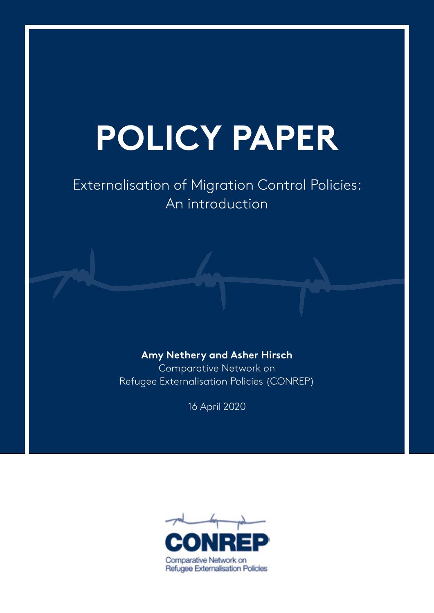# **POLICY PAPER**

## Externalisation of Migration Control Policies: An introduction

### **Amy Nethery and Asher Hirsch**

Comparative Network on Refugee Externalisation Policies (CONREP)

16 April 2020

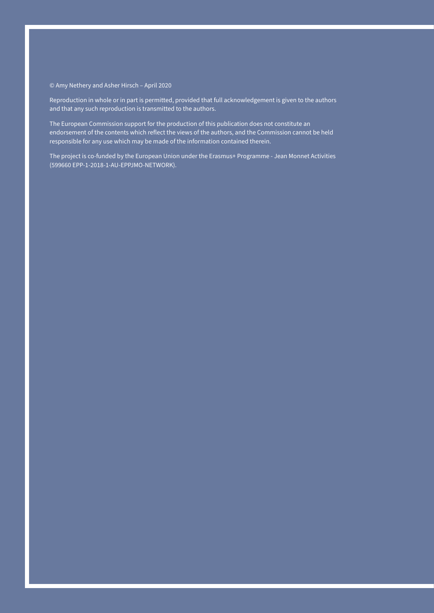#### © Amy Nethery and Asher Hirsch – April 2020

Reproduction in whole or in part is permitted, provided that full acknowledgement is given to the authors and that any such reproduction is transmitted to the authors.

The European Commission support for the production of this publication does not constitute an endorsement of the contents which reflect the views of the authors, and the Commission cannot be held responsible for any use which may be made of the information contained therein.

The project is co-funded by the European Union under the Erasmus+ Programme - Jean Monnet Activities (599660 EPP-1-2018-1-AU-EPPJMO-NETWORK).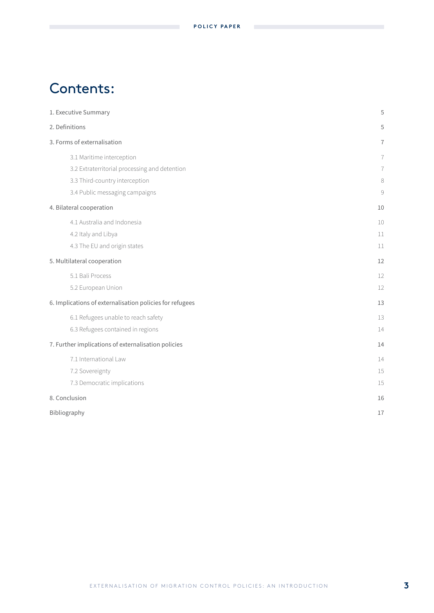## Contents:

| 1. Executive Summary                                     | 5              |
|----------------------------------------------------------|----------------|
| 2. Definitions                                           | 5              |
| 3. Forms of externalisation                              | $\overline{7}$ |
| 3.1 Maritime interception                                | 7              |
| 3.2 Extraterritorial processing and detention            | 7              |
| 3.3 Third-country interception                           | 8              |
| 3.4 Public messaging campaigns                           | 9              |
| 4. Bilateral cooperation                                 | 10             |
| 4.1 Australia and Indonesia                              | 10             |
| 4.2 Italy and Libya                                      | 11             |
| 4.3 The EU and origin states                             | 11             |
| 5. Multilateral cooperation                              | 12             |
| 5.1 Bali Process                                         | 12             |
| 5.2 European Union                                       | 12             |
| 6. Implications of externalisation policies for refugees | 13             |
| 6.1 Refugees unable to reach safety                      | 13             |
| 6.3 Refugees contained in regions                        | 14             |
| 7. Further implications of externalisation policies      | 14             |
| 7.1 International Law                                    | 14             |
| 7.2 Sovereignty                                          | 15             |
| 7.3 Democratic implications                              | 15             |
| 8. Conclusion                                            | 16             |
| Bibliography                                             | 17             |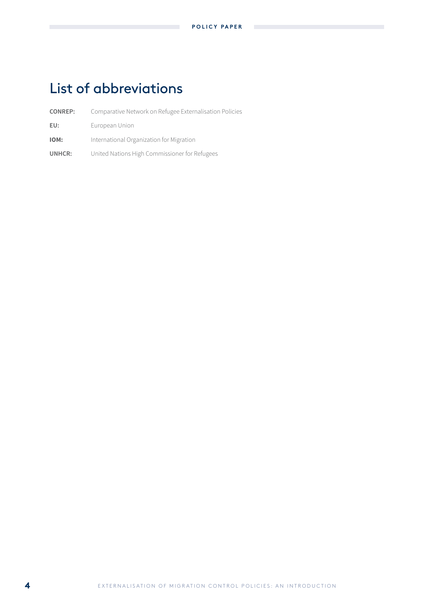## List of abbreviations

- **CONREP:** Comparative Network on Refugee Externalisation Policies **EU:** European Union **IOM:** International Organization for Migration
- **UNHCR:** United Nations High Commissioner for Refugees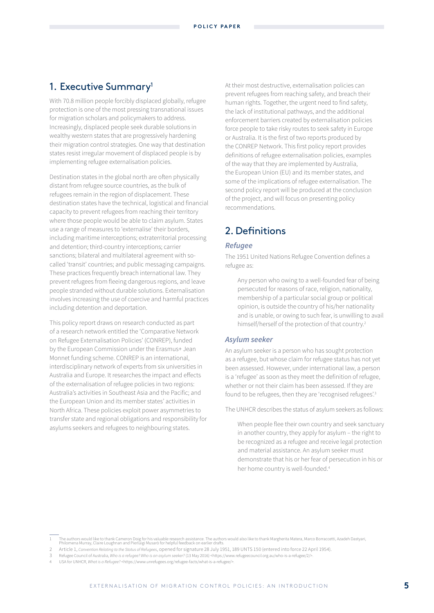#### <span id="page-4-0"></span>1. Executive Summary<sup>1</sup>

With 70.8 million people forcibly displaced globally, refugee protection is one of the most pressing transnational issues for migration scholars and policymakers to address. Increasingly, displaced people seek durable solutions in wealthy western states that are progressively hardening their migration control strategies. One way that destination states resist irregular movement of displaced people is by implementing refugee externalisation policies.

Destination states in the global north are often physically distant from refugee source countries, as the bulk of refugees remain in the region of displacement. These destination states have the technical, logistical and financial capacity to prevent refugees from reaching their territory where those people would be able to claim asylum. States use a range of measures to 'externalise' their borders, including maritime interceptions; extraterritorial processing and detention; third-country interceptions; carrier sanctions; bilateral and multilateral agreement with socalled 'transit' countries; and public messaging campaigns. These practices frequently breach international law. They prevent refugees from fleeing dangerous regions, and leave people stranded without durable solutions. Externalisation involves increasing the use of coercive and harmful practices including detention and deportation.

This policy report draws on research conducted as part of a research network entitled the 'Comparative Network on Refugee Externalisation Policies' (CONREP), funded by the European Commission under the Erasmus+ Jean Monnet funding scheme. CONREP is an international, interdisciplinary network of experts from six universities in Australia and Europe. It researches the impact and effects of the externalisation of refugee policies in two regions: Australia's activities in Southeast Asia and the Pacific; and the European Union and its member states' activities in North Africa. These policies exploit power asymmetries to transfer state and regional obligations and responsibility for asylums seekers and refugees to neighbouring states.

At their most destructive, externalisation policies can prevent refugees from reaching safety, and breach their human rights. Together, the urgent need to find safety, the lack of institutional pathways, and the additional enforcement barriers created by externalisation policies force people to take risky routes to seek safety in Europe or Australia. It is the first of two reports produced by the CONREP Network. This first policy report provides definitions of refugee externalisation policies, examples of the way that they are implemented by Australia, the European Union (EU) and its member states, and some of the implications of refugee externalisation. The second policy report will be produced at the conclusion of the project, and will focus on presenting policy recommendations.

### 2. Definitions

#### *Refugee*

The 1951 United Nations Refugee Convention defines a refugee as:

Any person who owing to a well-founded fear of being persecuted for reasons of race, religion, nationality, membership of a particular social group or political opinion, is outside the country of his/her nationality and is unable, or owing to such fear, is unwilling to avail himself/herself of the protection of that country.<sup>2</sup>

#### *Asylum seeker*

An asylum seeker is a person who has sought protection as a refugee, but whose claim for refugee status has not yet been assessed. However, under international law, a person is a 'refugee' as soon as they meet the definition of refugee, whether or not their claim has been assessed. If they are found to be refugees, then they are 'recognised refugees'.3

The UNHCR describes the status of asylum seekers as follows:

When people flee their own country and seek sanctuary in another country, they apply for asylum – the right to be recognized as a refugee and receive legal protection and material assistance. An asylum seeker must demonstrate that his or her fear of persecution in his or her home country is well-founded.4

The authors would like to thank Cameron Doig for his valuable research assistance. The authors would also like to thank Margherita Matera, Marco Borraccetti, Azadeh Dastyari,<br>Philomena Murray, Claire Loughnan and Pierluigi

<sup>2</sup> Article 1, *Convention Relating to the Status of Refugees*, opened for signature 28 July 1951, 189 UNTS 150 (entered into force 22 April 1954).

<sup>3</sup> Refugee Council of Australia, *Who is a refugee? Who is an asylum seeker?* (13 May 2016) <https://www.refugeecouncil.org.au/who-is-a-refugee/2/>.

<sup>4</sup> USA for UNHCR, *What is a Refugee?* <https://www.unrefugees.org/refugee-facts/what-is-a-refugee/>.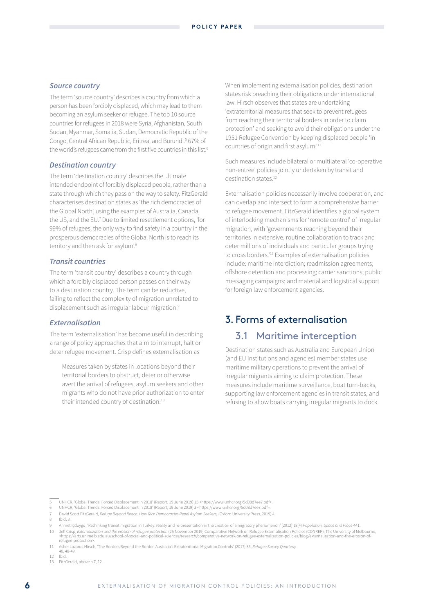#### *Source country*

The term 'source country' describes a country from which a person has been forcibly displaced, which may lead to them becoming an asylum seeker or refugee. The top 10 source countries for refugees in 2018 were Syria, Afghanistan, South Sudan, Myanmar, Somalia, Sudan, Democratic Republic of the Congo, Central African Republic, Eritrea, and Burundi.<sup>5</sup> 67% of the world's refugees came from the first five countries in this list.<sup>6</sup>

#### *Destination country*

The term 'destination country' describes the ultimate intended endpoint of forcibly displaced people, rather than a state through which they pass on the way to safety. FitzGerald characterises destination states as 'the rich democracies of the Global North', using the examples of Australia, Canada, the US, and the EU.<sup>7</sup> Due to limited resettlement options, 'for 99% of refugees, the only way to find safety in a country in the prosperous democracies of the Global North is to reach its territory and then ask for asylum'.<sup>8</sup>

#### *Transit countries*

The term 'transit country' describes a country through which a forcibly displaced person passes on their way to a destination country. The term can be reductive, failing to reflect the complexity of migration unrelated to displacement such as irregular labour migration.<sup>9</sup>

#### *Externalisation*

The term 'externalisation' has become useful in describing a range of policy approaches that aim to interrupt, halt or deter refugee movement. Crisp defines externalisation as

Measures taken by states in locations beyond their territorial borders to obstruct, deter or otherwise avert the arrival of refugees, asylum seekers and other migrants who do not have prior authorization to enter their intended country of destination.10

When implementing externalisation policies, destination states risk breaching their obligations under international law. Hirsch observes that states are undertaking 'extraterritorial measures that seek to prevent refugees from reaching their territorial borders in order to claim protection' and seeking to avoid their obligations under the 1951 Refugee Convention by keeping displaced people 'in countries of origin and first asylum.'11

Such measures include bilateral or multilateral 'co-operative non-entrée' policies jointly undertaken by transit and destination states.<sup>12</sup>

Externalisation policies necessarily involve cooperation, and can overlap and intersect to form a comprehensive barrier to refugee movement. FitzGerald identifies a global system of interlocking mechanisms for 'remote control' of irregular migration, with 'governments reaching beyond their territories in extensive, routine collaboration to track and deter millions of individuals and particular groups trying to cross borders.'13 Examples of externalisation policies include: maritime interdiction; readmission agreements; offshore detention and processing; carrier sanctions; public messaging campaigns; and material and logistical support for foreign law enforcement agencies.

#### 3. Forms of externalisation

#### 3.1 Maritime interception

Destination states such as Australia and European Union (and EU institutions and agencies) member states use maritime military operations to prevent the arrival of irregular migrants aiming to claim protection. These measures include maritime surveillance, boat turn-backs, supporting law enforcement agencies in transit states, and refusing to allow boats carrying irregular migrants to dock.

- 6 UNHCR, 'Global Trends: Forced Displacement in 2018' (Report, 19 June 2019) 3 <https://www.unhcr.org/5d08d7ee7.pdf>.
- 7 David Scott FitzGerald, *Refuge Beyond Reach: How Rich Democracies Repel Asylum Seekers,* (Oxford University Press, 2019) 4.
- 8 Ibid, 3.

13 FitzGerald, above n 7, 12.

refugee-protection>.

UNHCR, 'Global Trends: Forced Displacement in 2018' (Report, 19 June 2019) 15 <https://www.unhcr.org/5d08d7ee7.pdf>.

<sup>9</sup> Ahmet Içduygu, 'Rethinking transit migration in Turkey: reality and re-presentation in the creation of a migratory phenomenon' (2012) 18(4) *Population, Space and Place* 441. Jeff Crisp, Externalization and the erosion of refugee protection (25 November 2019) Comparative Network on Refugee Externalisation Policies (CONREP), The University of Melbourne,<br>^https://arts.unimelb.edu.au/school-of-soc

<sup>11</sup> Asher Lazarus Hirsch, 'The Borders Beyond the Border: Australia's Extraterritorial Migration Controls' (2017) 36, *Refugee Survey Quarterly*

<sup>48, 48-49.</sup>  $12$  Ibid.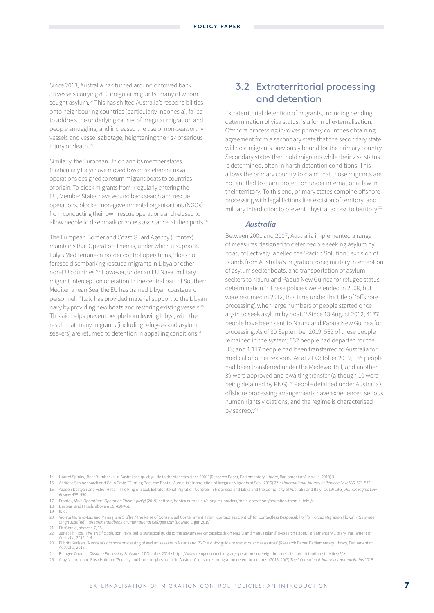<span id="page-6-0"></span>Since 2013, Australia has turned around or towed back 33 vessels carrying 810 irregular migrants, many of whom sought asylum.<sup>14</sup> This has shifted Australia's responsibilities onto neighbouring countries (particularly Indonesia), failed to address the underlying causes of irregular migration and people smuggling, and increased the use of non-seaworthy vessels and vessel sabotage, heightening the risk of serious injury or death.<sup>15</sup>

Similarly, the European Union and its member states (particularly Italy) have moved towards deterrent naval operations designed to return migrant boats to countries of origin. To block migrants from irregularly entering the EU, Member States have wound back search and rescue operations, blocked non-governmental organisations (NGOs) from conducting their own rescue operations and refused to allow people to disembark or access assistance at their ports.<sup>16</sup>

The European Border and Coast Guard Agency (Frontex) maintains that Operation Themis, under which it supports Italy's Mediterranean border control operations, 'does not foresee disembarking rescued migrants in Libya or other non-EU countries.'17 However, under an EU Naval military migrant interception operation in the central part of Southern Mediterranean Sea, the EU has trained Libyan coastguard personnel.18 Italy has provided material support to the Libyan navy by providing new boats and restoring existing vessels.19 This aid helps prevent people from leaving Libya, with the result that many migrants (including refugees and asylum seekers) are returned to detention in appalling conditions.<sup>20</sup>

#### 3.2 Extraterritorial processing and detention

Extraterritorial detention of migrants, including pending determination of visa status, is a form of externalisation. Offshore processing involves primary countries obtaining agreement from a secondary state that the secondary state will host migrants previously bound for the primary country. Secondary states then hold migrants while their visa status is determined, often in harsh detention conditions. This allows the primary country to claim that those migrants are not entitled to claim protection under international law in their territory. To this end, primary states combine offshore processing with legal fictions like excision of territory, and military interdiction to prevent physical access to territory.<sup>21</sup>

#### *Australia*

Between 2001 and 2007, Australia implemented a range of measures designed to deter people seeking asylum by boat, collectively labelled the 'Pacific Solution': excision of islands from Australia's migration zone; military interception of asylum seeker boats; and transportation of asylum seekers to Nauru and Papua New Guinea for refugee status determination.22 These policies were ended in 2008, but were resumed in 2012, this time under the title of 'offshore processing', when large numbers of people started once again to seek asylum by boat.<sup>23</sup> Since 13 August 2012, 4177 people have been sent to Nauru and Papua New Guinea for processing. As of 30 September 2019, 562 of these people remained in the system; 632 people had departed for the US; and 1,117 people had been transferred to Australia for medical or other reasons. As at 21 October 2019, 135 people had been transferred under the Medevac Bill, and another 39 were approved and awaiting transfer (although 10 were being detained by PNG).<sup>24</sup> People detained under Australia's offshore processing arrangements have experienced serious human rights violations, and the regime is characterised by secrecy.<sup>25</sup>

19 Ibid.<br>20 Viole

24 Refugee Council, *Offshore Processing Statistics*, 27 October 2019 <https://www.refugeecouncil.org.au/operation-sovereign-borders-offshore-detention-statistics/2/>

<sup>14</sup> Harriet Spinks, 'Boat 'turnbacks' in Australia: a quick guide to the statistics since 2001' (Research Paper, Parliamentary Library, Parliament of Australia, 2018) 3.

<sup>15</sup> Andreas Schloenhardt and Colin Craig '"Turning Back the Boats": Australia's Interdiction of Irregular Migrants at Sea' (2015) 27(4) *International Journal of Refugee Law* 536, 571-572. 16 Azadeh Dastyari and Asher Hirsch 'The Ring of Steel: Extraterritorial Migration Controls in Indonesia and Libya and the Complicity of Australia and Italy' (2019) 19(3) *Human Rights Law* 

*Review* 435, 450. 17 Frontex, *Main Operations: Operation Themis (Italy)* (2019) <https://frontex.europa.eu/along-eu-borders/main-operations/operation-themis-italy-/>.

<sup>18</sup> Dastyari and Hirsch, above n 16, 450-451.

<sup>20</sup> Violeta Moreno-Lax and Mariagiulia Giuffré, 'The Raise of Consensual Containment: From 'Contactless Control' to 'Contactless Responsibility' for Forced Migration Flows' in Satvinder Singh Juss (ed), *Research Handbook on International Refugee Law* (Edward Elgar, 2019).

<sup>21</sup> FitzGerald, above n 7, 15.<br>22 Janet Phillips. 'The 'Pacit

<sup>22</sup> Janet Phillips, 'The 'Pacific Solution' revisited: a statistical guide to the asylum seeker caseloads on Nauru and Manus Island' (Research Paper, Parliamentary Library, Parliament of Australia, 2012) 1-4.

<sup>23</sup> Elibritt Karlsen, 'Australia's offshore processing of asylum seekers in Nauru and PNG: a quick guide to statistics and resources' (Research Paper, Parliamentary Library, Parliament of Australia, 2016).

<sup>25</sup> Amy Nethery and Rosa Holman, 'Secrecy and human rights abuse in Australia's offshore immigration detention centres' (2016) 20(7) *The International Journal of Human Rights* 1018.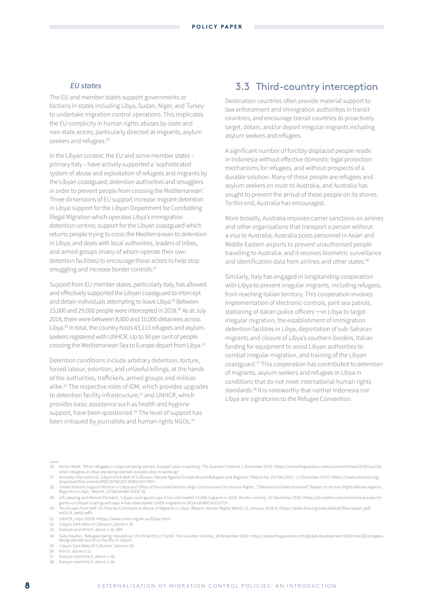#### *EU states*

<span id="page-7-0"></span>The EU and member states support governments or factions in states including Libya, Sudan, Niger, and Turkey to undertake migration control operations. This implicates the EU complicity in human rights abuses by state and non-state actors, particularly directed at migrants, asylum seekers and refugees.<sup>26</sup>

In the Libyan context, the EU and some member states – primary Italy – have actively supported a 'sophisticated system of abuse and exploitation of refugees and migrants by the Libyan coastguard, detention authorities and smugglers in order to prevent people from crossing the Mediterranean'. Three dimensions of EU support increase migrant detention in Libya: support for the Libyan Department for Combatting Illegal Migration which operates Libya's immigration detention centres; support for the Libyan coastguard which returns people trying to cross the Mediterranean to detention in Libya; and deals with local authorities, leaders of tribes, and armed groups (many of whom operate their own detention facilities) to encourage those actors to help stop smuggling and increase border controls.<sup>27</sup>

Support from EU member states, particularly Italy, has allowed and effectively supported the Libyan coastguard to intercept and detain individuals attempting to leave Libya.<sup>28</sup> Between 15,000 and 29,000 people were intercepted in 2018.<sup>29</sup> As at July 2018, there were between 8,000 and 10,000 detainees across Libya.<sup>30</sup> In total, the country hosts 43,113 refugees and asylumseekers registered with UNHCR. Up to 90 per cent of people crossing the Mediterranean Sea to Europe depart from Libya.31

Detention conditions include arbitrary detention, torture, forced labour, extortion, and unlawful killings, at the hands of the authorities, traffickers, armed groups and militias alike.32 The respective roles of IOM, which provides upgrades to detention facility infrastructure,<sup>33</sup> and UNHCR, which provides basic assistance such as health and hygiene support, have been questioned.<sup>34</sup> The level of support has been critiqued by journalists and human rights NGOs.<sup>35</sup>

#### 3.3 Third-country interception

Destination countries often provide material support to law enforcement and immigration authorities in transit countries, and encourage transit countries to proactively target, detain, and/or deport irregular migrants including asylum seekers and refugees.

A significant number of forcibly displaced people reside in Indonesia without effective domestic legal protection mechanisms for refugees, and without prospects of a durable solution. Many of these people are refugees and asylum seekers *en route* to Australia, and Australia has sought to prevent the arrival of these people on its shores. To this end, Australia has encouraged.

More broadly, Australia imposes carrier sanctions on airlines and other organisations that transport a person without a visa to Australia; Australia posts personnel in Asian and Middle Eastern airports to prevent unauthorised people travelling to Australia; and it receives biometric surveillance and identification data from airlines and other states.<sup>36</sup>

Similarly, Italy has engaged in longstanding cooperation with Libya to prevent irregular migrants, including refugees, from reaching Italian territory. This cooperation involves implementation of electronic controls, joint sea patrols, stationing of Italian police officers ¬¬in Libya to target irregular migration, the establishment of immigration detention facilities in Libya, deportation of sub-Saharan migrants and closure of Libya's southern borders, Italian funding for equipment to assist Libyan authorities to combat irregular migration, and training of the Libyan coastguard.37 This cooperation has contributed to detention of migrants, asylum seekers and refugees in Libya in conditions that do not meet international human rights standards.38 It is noteworthy that neither Indonesia nor Libya are signatories to the Refugee Convention.

29 Ulf Laessing and Ahmed Elumami, 'Libyan coast guard says it has intercepted 15,000 migrants in 2018', *Reuters* (online), 21 December 2018 <https://uk.reuters.com/article/uk-europe-migrants-un/libyan-coast-guard-says-it-has-intercepted-15000-migrants-in-2018-idUKKCN1OJ273>.<br>"No Escape From Hell: EU Policies Contribute to Abuse of Migrants in Libya' (Report, Human Rights Watch, 21 January 2019) 6 <https

<sup>26</sup> Kenan Malik, 'When refugees in Libya are being starved, Europe's plan is working', *The Guardian* (online), 1 December 2019 <https://www.theguardian.com/commentisfree/2019/nov/30/ when-refugees-in-libya-are-being-starved-europes-plan-is-working>.

<sup>27</sup> Amnesty International, 'Libya's Dark Web of Collusion: Abuses Against Europe-Bound Refugees and Migrants' (Report No 19/7561/2017, 11 December 2017) <https://www.amnesty.org/ download/Documents/MDE1975612017ENGLISH.PDF>.

<sup>28</sup> United Nations Support Mission in Libya and Office of the United Nations High Commissioner for Human Rights, "Detained and Dehumanised" Report on Human Rights Abuses Against<br>Migrants in Libya,' (Report, 13 December 2016

<sup>31</sup> UNHCR, *Libya* (2019) <https://www.unhcr.org/en-au/libya.html>.

<sup>32</sup> 'Libya's Dark Web of Collusion', above n 28.

<sup>33</sup> Dastyari and Hirsch, above n 16, 454.

<sup>-</sup>Sally Hayden, 'Refugees being 'starved out' of UN facility in Tripoli' *The Guardian* (online), 28 November 2019 <https://www.theguardian.com/global-development/2019/nov/28/refugees<br>being-starved-out-of-un-facility-in-tri

<sup>35</sup> 'Libya's Dark Web Of Collusion', above n 28 .

<sup>36</sup> Hirsch, above n 11.

<sup>37</sup> Dastyari and Hirsch, above n 16. 38 Dastyari and Hirsch, above n 16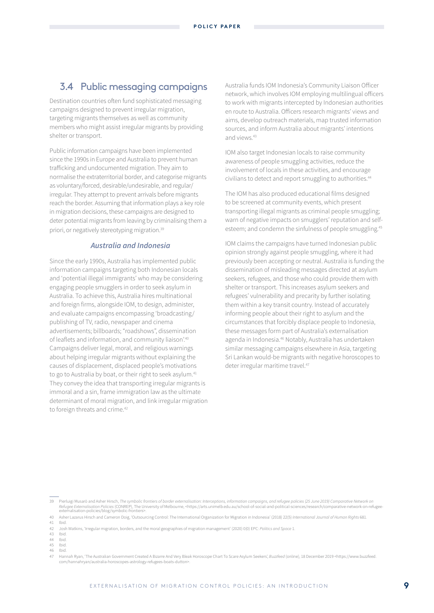#### <span id="page-8-0"></span>3.4 Public messaging campaigns

Destination countries often fund sophisticated messaging campaigns designed to prevent irregular migration, targeting migrants themselves as well as community members who might assist irregular migrants by providing shelter or transport.

Public information campaigns have been implemented since the 1990s in Europe and Australia to prevent human trafficking and undocumented migration. They aim to normalise the extraterritorial border, and categorise migrants as voluntary/forced, desirable/undesirable, and regular/ irregular. They attempt to prevent arrivals before migrants reach the border. Assuming that information plays a key role in migration decisions, these campaigns are designed to deter potential migrants from leaving by criminalising them a priori, or negatively stereotyping migration.39

#### *Australia and Indonesia*

Since the early 1990s, Australia has implemented public information campaigns targeting both Indonesian locals and 'potential illegal immigrants' who may be considering engaging people smugglers in order to seek asylum in Australia. To achieve this, Australia hires multinational and foreign firms, alongside IOM, to design, administer, and evaluate campaigns encompassing 'broadcasting/ publishing of TV, radio, newspaper and cinema advertisements; billboards; "roadshows", dissemination of leaflets and information, and community liaison'.<sup>40</sup> Campaigns deliver legal, moral, and religious warnings about helping irregular migrants without explaining the causes of displacement, displaced people's motivations to go to Australia by boat, or their right to seek asylum.<sup>41</sup> They convey the idea that transporting irregular migrants is immoral and a sin, frame immigration law as the ultimate determinant of moral migration, and link irregular migration to foreign threats and crime.<sup>42</sup>

Australia funds IOM Indonesia's Community Liaison Officer network, which involves IOM employing multilingual officers to work with migrants intercepted by Indonesian authorities en route to Australia. Officers research migrants' views and aims, develop outreach materials, map trusted information sources, and inform Australia about migrants' intentions and views<sup>43</sup>

IOM also target Indonesian locals to raise community awareness of people smuggling activities, reduce the involvement of locals in these activities, and encourage civilians to detect and report smuggling to authorities.<sup>44</sup>

The IOM has also produced educational films designed to be screened at community events, which present transporting illegal migrants as criminal people smuggling; warn of negative impacts on smugglers' reputation and selfesteem; and condemn the sinfulness of people smuggling.45

IOM claims the campaigns have turned Indonesian public opinion strongly against people smuggling, where it had previously been accepting or neutral. Australia is funding the dissemination of misleading messages directed at asylum seekers, refugees, and those who could provide them with shelter or transport. This increases asylum seekers and refugees' vulnerability and precarity by further isolating them within a key transit country. Instead of accurately informing people about their right to asylum and the circumstances that forcibly displace people to Indonesia, these messages form part of Australia's externalisation agenda in Indonesia.46 Notably, Australia has undertaken similar messaging campaigns elsewhere in Asia, targeting Sri Lankan would-be migrants with negative horoscopes to deter irregular maritime travel.<sup>47</sup>

<sup>39</sup> Pierluigi Musarò and Asher Hirsch, *The symbolic frontiers of border externalisation: Interceptions, information campaigns, and refugee policies (25 June 2019) Comparative Network on Refugee Externalisation Policies* (CONREP), The University of Melbourne, <https://arts.unimelb.edu.au/school-of-social-and-political-sciences/research/comparative-network-on-refugee-<br>externalisation-policies/blog/symbolic

<sup>40</sup> Asher Lazarus Hirsch and Cameron Doig, 'Outsourcing Control: The International Organization for Migration in Indonesia' (2018) 22(5) *International Journal of Human Rights* 681. 41 Ibid.

<sup>42</sup> Josh Watkins, 'Irregular migration, borders, and the moral geographies of migration management' (2020) 0(0) EPC: *Politics and Space* 1.

<sup>43</sup> Ibid.<br>44 Ibid 44 Ibid.<br>45 Ibid.

 $45$  Ibid<br> $46$  Ibid.

<sup>46</sup> Ibid.

<sup>47</sup> Hannah Ryan, 'The Australian Government Created A Bizarre And Very Bleak Horoscope Chart To Scare Asylum Seekers', *Buzzfeed* (online), 18 December 2019 <https://www.buzzfeed. com/hannahryan/australia-horoscopes-astrology-refugees-boats-dutton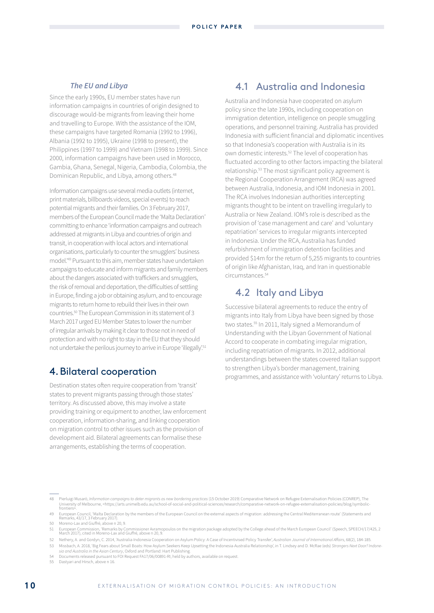#### *The EU and Libya*

<span id="page-9-0"></span>Since the early 1990s, EU member states have run information campaigns in countries of origin designed to discourage would-be migrants from leaving their home and travelling to Europe. With the assistance of the IOM, these campaigns have targeted Romania (1992 to 1996), Albania (1992 to 1995), Ukraine (1998 to present), the Philippines (1997 to 1999) and Vietnam (1998 to 1999). Since 2000, information campaigns have been used in Morocco, Gambia, Ghana, Senegal, Nigeria, Cambodia, Colombia, the Dominican Republic, and Libya, among others.48

Information campaigns use several media outlets (internet, print materials, billboards videos, special events) to reach potential migrants and their families. On 3 February 2017, members of the European Council made the 'Malta Declaration' committing to enhance 'information campaigns and outreach addressed at migrants in Libya and countries of origin and transit, in cooperation with local actors and international organisations, particularly to counter the smugglers' business model.'49 Pursuant to this aim, member states have undertaken campaigns to educate and inform migrants and family members about the dangers associated with traffickers and smugglers, the risk of removal and deportation, the difficulties of settling in Europe, finding a job or obtaining asylum, and to encourage migrants to return home to rebuild their lives in their own countries.50 The European Commission in its statement of 3 March 2017 urged EU Member States to lower the number of irregular arrivals by making it clear to those not in need of protection and with no right to stay in the EU that they should not undertake the perilous journey to arrive in Europe 'illegally'.<sup>51</sup>

#### 4.Bilateral cooperation

Destination states often require cooperation from 'transit' states to prevent migrants passing through those states' territory. As discussed above, this may involve a state providing training or equipment to another, law enforcement cooperation, information-sharing, and linking cooperation on migration control to other issues such as the provision of development aid. Bilateral agreements can formalise these arrangements, establishing the terms of cooperation.

#### 4.1 Australia and Indonesia

Australia and Indonesia have cooperated on asylum policy since the late 1990s, including cooperation on immigration detention, intelligence on people smuggling operations, and personnel training. Australia has provided Indonesia with sufficient financial and diplomatic incentives so that Indonesia's cooperation with Australia is in its own domestic interests.52 The level of cooperation has fluctuated according to other factors impacting the bilateral relationship.53 The most significant policy agreement is the Regional Cooperation Arrangement (RCA) was agreed between Australia, Indonesia, and IOM Indonesia in 2001. The RCA involves Indonesian authorities intercepting migrants thought to be intent on travelling irregularly to Australia or New Zealand. IOM's role is described as the provision of 'case management and care' and 'voluntary repatriation' services to irregular migrants intercepted in Indonesia. Under the RCA, Australia has funded refurbishment of immigration detention facilities and provided \$14m for the return of 5,255 migrants to countries of origin like Afghanistan, Iraq, and Iran in questionable circumstances.54

#### 4.2 Italy and Libya

Successive bilateral agreements to reduce the entry of migrants into Italy from Libya have been signed by those two states.<sup>55</sup> In 2011, Italy signed a Memorandum of Understanding with the Libyan Government of National Accord to cooperate in combating irregular migration, including repatriation of migrants. In 2012, additional understandings between the states covered Italian support to strengthen Libya's border management, training programmes, and assistance with 'voluntary' returns to Libya.

Pierluigi Musarò, *Information campaigns to deter migrants as new bordering practice*s (15 October 2019) Comparative Network on Refugee Externalisation Policies (CONREP), The<br>University of Melbourne, «https://arts.unimelb.

55 Dastyari and Hirsch, above n 16.

<sup>49</sup> European Council, 'Malta Declaration by the members of the European Council on the external aspects of migration: addressing the Central Mediterranean route' (Statements and Remarks, 43/17, 3 February 2017).

<sup>50</sup> Moreno-Lax and Giuffré, above n 20, 9.<br>51 European Commission, 'Remarks by C

<sup>51</sup> European Commission, 'Remarks by Commissioner Avramopoulos on the migration package adopted by the College ahead of the March European Council' (Speech, SPEECH/17/425, 2<br>March 2017), cited in Moreno-Lax and Giuffré, abo

<sup>52</sup> Nethery, A. and Gordyn, C. 2014, 'Australia-Indonesia Cooperation on Asylum Policy: A Case of Incentivised Policy Transfer', *Australian Journal of International Affairs*, 68(2), 184-185.

<sup>53</sup> Missbach, A. 2018, 'Big Fears about Small Boats: How Asylum Seekers Keep Upsetting the Indonesia-Australia Relationship', in T. Lindsey and D. McRae (eds) *Strangers Next Door? Indonesia and Australia in the Asian Century*, Oxford and Portland: Hart Publishing. 54 Documents released pursuant to FOI Request FA17/06/00891-RI, held by authors, available on request.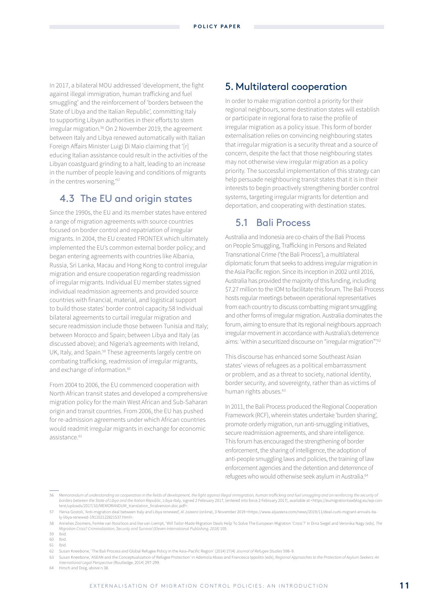<span id="page-10-0"></span>In 2017, a bilateral MOU addressed 'development, the fight against illegal immigration, human trafficking and fuel smuggling' and the reinforcement of 'borders between the State of Libya and the Italian Republic', committing Italy to supporting Libyan authorities in their efforts to stem irregular migration.<sup>56</sup> On 2 November 2019, the agreement between Italy and Libya renewed automatically with Italian Foreign Affairs Minister Luigi Di Maio claiming that '[r] educing Italian assistance could result in the activities of the Libyan coastguard grinding to a halt, leading to an increase in the number of people leaving and conditions of migrants in the centres worsening.'<sup>57</sup>

#### 4.3 The EU and origin states

Since the 1990s, the EU and its member states have entered a range of migration agreements with source countries focused on border control and repatriation of irregular migrants. In 2004, the EU created FRONTEX which ultimately implemented the EU's common external border policy; and began entering agreements with countries like Albania, Russia, Sri Lanka, Macau and Hong Kong to control irregular migration and ensure cooperation regarding readmission of irregular migrants. Individual EU member states signed individual readmission agreements and provided source countries with financial, material, and logistical support to build those states' border control capacity.58 Individual bilateral agreements to curtail irregular migration and secure readmission include those between Tunisia and Italy; between Morocco and Spain; between Libya and Italy (as discussed above); and Nigeria's agreements with Ireland, UK, Italy, and Spain.<sup>59</sup> These agreements largely centre on combating trafficking, readmission of irregular migrants, and exchange of information.<sup>60</sup>

From 2004 to 2006, the EU commenced cooperation with North African transit states and developed a comprehensive migration policy for the main West African and Sub-Saharan origin and transit countries. From 2006, the EU has pushed for re-admission agreements under which African countries would readmit irregular migrants in exchange for economic assistance.<sup>61</sup>

#### 5. Multilateral cooperation

In order to make migration control a priority for their regional neighbours, some destination states will establish or participate in regional fora to raise the profile of irregular migration as a policy issue. This form of border externalisation relies on convincing neighbouring states that irregular migration is a security threat and a source of concern, despite the fact that those neighbouring states may not otherwise view irregular migration as a policy priority. The successful implementation of this strategy can help persuade neighbouring transit states that it is in their interests to begin proactively strengthening border control systems, targeting irregular migrants for detention and deportation, and cooperating with destination states.

#### 5.1 Bali Process

Australia and Indonesia are co-chairs of the Bali Process on People Smuggling, Trafficking in Persons and Related Transnational Crime ('the Bali Process'), a multilateral diplomatic forum that seeks to address irregular migration in the Asia Pacific region. Since its inception in 2002 until 2016, Australia has provided the majority of this funding, including \$7.27 million to the IOM to facilitate this forum. The Bali Process hosts regular meetings between operational representatives from each country to discuss combatting migrant smuggling and other forms of irregular migration. Australia dominates the forum, aiming to ensure that its regional neighbours approach irregular movement in accordance with Australia's deterrence aims: 'within a securitized discourse on "irregular migration".<sup>62</sup>

This discourse has enhanced some Southeast Asian states' views of refugees as a political embarrassment or problem, and as a threat to society, national identity, border security, and sovereignty, rather than as victims of human rights abuses.<sup>63</sup>

In 2011, the Bali Process produced the Regional Cooperation Framework (RCF), wherein states undertake 'burden sharing', promote orderly migration, run anti-smuggling initiatives, secure readmission agreements, and share intelligence. This forum has encouraged the strengthening of border enforcement, the sharing of intelligence, the adoption of anti-people smuggling laws and policies, the training of law enforcement agencies and the detention and deterrence of refugees who would otherwise seek asylum in Australia.<sup>64</sup>

Hirsch and Doig, above n 38.

<sup>56</sup> Memorandum of understanding on cooperation in the fields of development, the fight against illegal immigration, human trafficking and fuel smuggling and on reinforcing the security of<br>borders between the State of Libya tent/uploads/2017/10/MEMORANDUM\_translation\_finalversion.doc.pdf>.

<sup>-57</sup> Ylenia Gostoli, 'Anti-migration deal between Italy and Libya renewed', *Al Jozeero* (online), 3 November 2019 <https://www.aljazeera.com/news/2019/11/deal-curb-migrant-arrivals-ita<br>V-libya-renewed-191102122821537.html>

<sup>58</sup> Annelies Zoomers, Femke van Noorloos and Ilse van Liempt, 'Will Tailor-Made Migration Deals Help To Solve The European Migration 'Crisis'?' in Dina Siegel and Veronika Nagy (eds)*, The Migration Crisis? Criminalization, Security and Survival (Eleven International Publishing, 2018)* 105.

<sup>59</sup> Ibid.

<sup>60</sup> Ibid. 61 Ibid.

<sup>62</sup> Susan Kneebone, 'The Bali Process and Global Refugee Policy in the Asia–Pacific Region' (2014) 27(4) *Journal of Refugee Studies* 598–9.

<sup>63</sup> Susan Kneebone, 'ASEAN and the Conceptualization of Refugee Protection' in Ademola Abass and Francesca Ippolito (eds), *Regional Approaches to the Protection of Asylum Seekers: An International Legal Perspective* (Routledge, 2014) 297-299.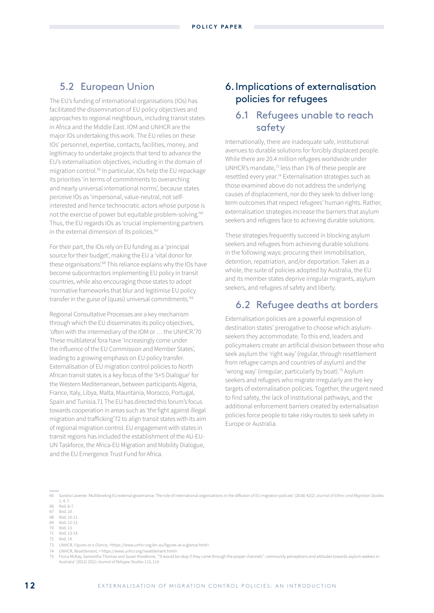#### <span id="page-11-0"></span>5.2 European Union

The EU's funding of international organisations (IOs) has facilitated the dissemination of EU policy objectives and approaches to regional neighbours, including transit states in Africa and the Middle East. IOM and UNHCR are the major IOs undertaking this work. The EU relies on these IOs' personnel, expertise, contacts, facilities, money, and legitimacy to undertake projects that tend to advance the EU's externalisation objectives, including in the domain of migration control.65 In particular, IOs help the EU repackage its priorities 'in terms of commitments to overarching and nearly universal international norms', because states perceive IOs as 'impersonal, value-neutral, not selfinterested and hence technocratic actors whose purpose is not the exercise of power but equitable problem-solving.'66 Thus, the EU regards IOs as 'crucial implementing partners in the external dimension of its policies.<sup>'67</sup>

For their part, the IOs rely on EU funding as a 'principal source for their budget', making the EU a 'vital donor for these organisations'.<sup>68</sup> This reliance explains why the IOs have become subcontractors implementing EU policy in transit countries, while also encouraging those states to adopt 'normative frameworks that blur and legitimise EU policy transfer in the guise of (quasi) universal commitments.'69

Regional Consultative Processes are a key mechanism through which the EU disseminates its policy objectives, 'often with the intermediary of the IOM or … the UNHCR.'70 These multilateral fora have 'increasingly come under the influence of the EU Commission and Member States', leading to a growing emphasis on EU policy transfer. Externalisation of EU migration control policies to North African transit states is a key focus of the '5+5 Dialogue' for the Western Mediterranean, between participants Algeria, France, Italy, Libya, Malta, Mauritania, Morocco, Portugal, Spain and Tunisia.71 The EU has directed this forum's focus towards cooperation in areas such as 'the fight against illegal migration and trafficking'72 to align transit states with its aim of regional migration control. EU engagement with states in transit regions has included the establishment of the AU-EU-UN Taskforce, the Africa-EU Migration and Mobility Dialogue, and the EU Emergence Trust Fund for Africa.

#### 6. Implications of externalisation policies for refugees

#### 6.1 Refugees unable to reach safety

Internationally, there are inadequate safe, institutional avenues to durable solutions for forcibly displaced people. While there are 20.4 million refugees worldwide under UNHCR's mandate,73 less than 1% of these people are resettled every year.74 Externalisation strategies such as those examined above do not address the underlying causes of displacement, nor do they seek to deliver longterm outcomes that respect refugees' human rights. Rather, externalisation strategies increase the barriers that asylum seekers and refugees face to achieving durable solutions.

These strategies frequently succeed in blocking asylum seekers and refugees from achieving durable solutions in the following ways: procuring their immobilisation, detention, repatriation, and/or deportation. Taken as a whole, the suite of policies adopted by Australia, the EU and its member states deprive irregular migrants, asylum seekers, and refugees of safety and liberty.

#### 6.2 Refugee deaths at borders

Externalisation policies are a powerful expression of destination states' prerogative to choose which asylumseekers they accommodate. To this end, leaders and policymakers create an artificial division between those who seek asylum the 'right way' (regular, through resettlement from refugee camps and countries of asylum) and the 'wrong way' (irregular, particularly by boat).75 Asylum seekers and refugees who migrate irregularly are the key targets of externalisation policies. Together, the urgent need to find safety, the lack of institutional pathways, and the additional enforcement barriers created by externalisation policies force people to take risky routes to seek safety in Europe or Australia.

65 Sandra Lavenex 'Multileveling EU external governance: The role of international organizations in the diffusion of EU migration policies' (2016) 42(2) *Journal of Ethnic and Migration Studies*  1, 4, 7. 66 Ibid, 6-7.

72 Ibid, 14.

<sup>67</sup> Ibid, 10.

<sup>68</sup> Ibid, 10-11.<br>69 Ibid, 12-13 Ibid, 12-13.

<sup>70</sup> Ibid, 13. 71 Ibid, 13-14.

<sup>73</sup> UNHCR, *Figures at a Glanc*e, <https://www.unhcr.org/en-au/figures-at-a-glance.html>.

<sup>74</sup> UNHCR, *Resettlement*, < https://www.unhcr.org/resettlement.html>.

<sup>75</sup> Fiona McKay, Samantha Thomas and Susan Kneebone, '"It would be okay if they came through the proper channels": community perceptions and attitudes towards asylum seekers in Australia' (2012) 25(1) *Journal of Refugee Studies* 113, 114.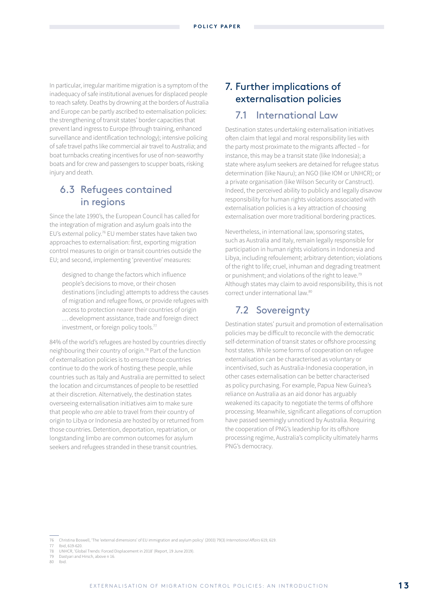<span id="page-12-0"></span>In particular, irregular maritime migration is a symptom of the inadequacy of safe institutional avenues for displaced people to reach safety. Deaths by drowning at the borders of Australia and Europe can be partly ascribed to externalisation policies: the strengthening of transit states' border capacities that prevent land ingress to Europe (through training, enhanced surveillance and identification technology); intensive policing of safe travel paths like commercial air travel to Australia; and boat turnbacks creating incentives for use of non-seaworthy boats and for crew and passengers to scupper boats, risking injury and death.

#### 6.3 Refugees contained in regions

Since the late 1990's, the European Council has called for the integration of migration and asylum goals into the EU's external policy.76 EU member states have taken two approaches to externalisation: first, exporting migration control measures to origin or transit countries outside the EU; and second, implementing 'preventive' measures:

designed to change the factors which influence people's decisions to move, or their chosen destinations [including] attempts to address the causes of migration and refugee flows, or provide refugees with access to protection nearer their countries of origin … development assistance, trade and foreign direct investment, or foreign policy tools.<sup>77</sup>

84% of the world's refugees are hosted by countries directly neighbouring their country of origin.78 Part of the function of externalisation policies is to ensure those countries continue to do the work of hosting these people, while countries such as Italy and Australia are permitted to select the location and circumstances of people to be resettled at their discretion. Alternatively, the destination states overseeing externalisation initiatives aim to make sure that people who *are* able to travel from their country of origin to Libya or Indonesia are hosted by or returned from those countries. Detention, deportation, repatriation, or longstanding limbo are common outcomes for asylum seekers and refugees stranded in these transit countries.

## 7. Further implications of externalisation policies

#### 7.1 International Law

Destination states undertaking externalisation initiatives often claim that legal and moral responsibility lies with the party most proximate to the migrants affected – for instance, this may be a transit state (like Indonesia); a state where asylum seekers are detained for refugee status determination (like Nauru); an NGO (like IOM or UNHCR); or a private organisation (like Wilson Security or Canstruct). Indeed, the perceived ability to publicly and legally disavow responsibility for human rights violations associated with externalisation policies is a key attraction of choosing externalisation over more traditional bordering practices.

Nevertheless, in international law, sponsoring states, such as Australia and Italy, remain legally responsible for participation in human rights violations in Indonesia and Libya, including refoulement; arbitrary detention; violations of the right to life; cruel, inhuman and degrading treatment or punishment; and violations of the right to leave.<sup>79</sup> Although states may claim to avoid responsibility, this is not correct under international law<sup>80</sup>

#### 7.2 Sovereignty

Destination states' pursuit and promotion of externalisation policies may be difficult to reconcile with the democratic self-determination of transit states or offshore processing host states. While some forms of cooperation on refugee externalisation can be characterised as voluntary or incentivised, such as Australia-Indonesia cooperation, in other cases externalisation can be better characterised as policy purchasing. For example, Papua New Guinea's reliance on Australia as an aid donor has arguably weakened its capacity to negotiate the terms of offshore processing. Meanwhile, significant allegations of corruption have passed seemingly unnoticed by Australia. Requiring the cooperation of PNG's leadership for its offshore processing regime, Australia's complicity ultimately harms PNG's democracy.

<sup>76</sup> Christina Boswell, 'The 'external dimensions' of EU immigration and asylum policy' (2003) 79(3) *International Affairs* 619, 619.

<sup>77</sup> Ibid, 619-620

<sup>78</sup> UNHCR, 'Global Trends: Forced Displacement in 2018' (Report, 19 June 2019). 79 Dastyari and Hirsch, above n 16.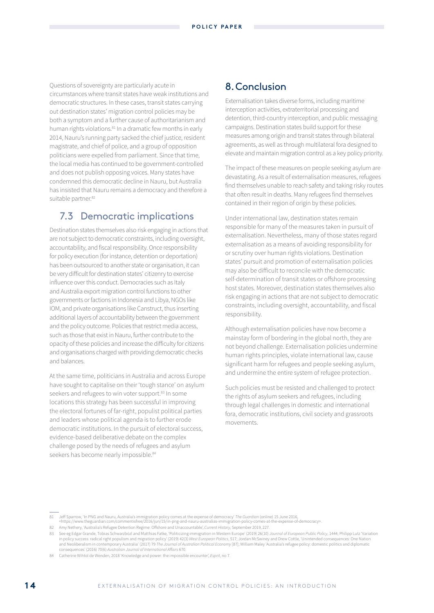<span id="page-13-0"></span>Questions of sovereignty are particularly acute in circumstances where transit states have weak institutions and democratic structures. In these cases, transit states carrying out destination states' migration control policies may be both a symptom and a further cause of authoritarianism and human rights violations.<sup>81</sup> In a dramatic few months in early 2014, Nauru's running party sacked the chief justice, resident magistrate, and chief of police, and a group of opposition politicians were expelled from parliament. Since that time, the local media has continued to be government-controlled and does not publish opposing voices. Many states have condemned this democratic decline in Nauru, but Australia has insisted that Nauru remains a democracy and therefore a suitable partner.<sup>82</sup>

#### 7.3 Democratic implications

Destination states themselves also risk engaging in actions that are not subject to democratic constraints, including oversight, accountability, and fiscal responsibility. Once responsibility for policy execution (for instance, detention or deportation) has been outsourced to another state or organisation, it can be very difficult for destination states' citizenry to exercise influence over this conduct. Democracies such as Italy and Australia export migration control functions to other governments or factions in Indonesia and Libya, NGOs like IOM, and private organisations like Canstruct, thus inserting additional layers of accountability between the government and the policy outcome. Policies that restrict media access, such as those that exist in Nauru, further contribute to the opacity of these policies and increase the difficulty for citizens and organisations charged with providing democratic checks and balances.

At the same time, politicians in Australia and across Europe have sought to capitalise on their 'tough stance' on asylum seekers and refugees to win voter support.<sup>83</sup> In some locations this strategy has been successful in improving the electoral fortunes of far-right, populist political parties and leaders whose political agenda is to further erode democratic institutions. In the pursuit of electoral success, evidence-based deliberative debate on the complex challenge posed by the needs of refugees and asylum seekers has become nearly impossible.<sup>84</sup>

#### 8.Conclusion

Externalisation takes diverse forms, including maritime interception activities, extraterritorial processing and detention, third-country interception, and public messaging campaigns. Destination states build support for these measures among origin and transit states through bilateral agreements, as well as through multilateral fora designed to elevate and maintain migration control as a key policy priority.

The impact of these measures on people seeking asylum are devastating. As a result of externalisation measures, refugees find themselves unable to reach safety and taking risky routes that often result in deaths. Many refugees find themselves contained in their region of origin by these policies.

Under international law, destination states remain responsible for many of the measures taken in pursuit of externalisation. Nevertheless, many of those states regard externalisation as a means of avoiding responsibility for or scrutiny over human rights violations. Destination states' pursuit and promotion of externalisation policies may also be difficult to reconcile with the democratic self-determination of transit states or offshore processing host states. Moreover, destination states themselves also risk engaging in actions that are not subject to democratic constraints, including oversight, accountability, and fiscal responsibility.

Although externalisation policies have now become a mainstay form of bordering in the global north, they are not beyond challenge. Externalisation policies undermine human rights principles, violate international law, cause significant harm for refugees and people seeking asylum, and undermine the entire system of refugee protection.

Such policies must be resisted and challenged to protect the rights of asylum seekers and refugees, including through legal challenges in domestic and international fora, democratic institutions, civil society and grassroots movements.

Jeff Sparrow, 'In PNG and Nauru, Australia's immigration policy comes at the expense of democracy' *The Guardian (*online) 15 June 2016,<br><https://www.theguardian.com/commentisfree/2016/jun/15/in-png-and-nauru-australias-im

<sup>82</sup> Amy Nethery, 'Australia's Refugee Detention Regime: Offshore and Unaccountable', *Current History,* September 2019, 227.

<sup>83</sup> See eg Edgar Grande, Tobias Schwarzbözl and Matthias Fatke, 'Politicizing immigration in Western Europe' (2019) 26(10) *Journal of European Public Policy*, 1444; Philipp Lutz 'Variation <sub>.</sub><br>cy success: radical right populism and migration policy' (2019) 42(3) *West European Politics*, 517; Jordan McSwiney and Drew Cottle, 'Unintended c and Neoliberalism in contemporary Australia' (2017) 79 The Jo*urnal of Australian Political Economy* [87]; William Maley 'Australia's refugee policy: domestic politics and diplomatic<br>consequences' (2016) 70(6) *Australian* 

<sup>84</sup> Catherine Wihtol de Wenden, 2018 'Knowledge and power: the impossible encounter', *Esprit*, no 7.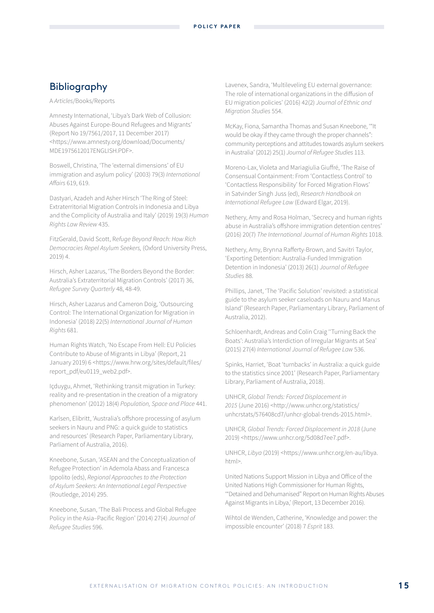#### <span id="page-14-0"></span>Bibliography

A *Articles*/Books/Reports

Amnesty International, 'Libya's Dark Web of Collusion: Abuses Against Europe-Bound Refugees and Migrants' (Report No 19/7561/2017, 11 December 2017) <https://www.amnesty.org/download/Documents/ MDE1975612017ENGLISH.PDF>.

Boswell, Christina, 'The 'external dimensions' of EU immigration and asylum policy' (2003) 79(3) *International Affairs* 619, 619.

Dastyari, Azadeh and Asher Hirsch 'The Ring of Steel: Extraterritorial Migration Controls in Indonesia and Libya and the Complicity of Australia and Italy' (2019) 19(3) *Human Rights Law Review* 435.

FitzGerald, David Scott, R*efuge Beyond Reach: How Rich Democracies Repel Asylum Seekers,* (Oxford University Press, 2019) 4.

Hirsch, Asher Lazarus, 'The Borders Beyond the Border: Australia's Extraterritorial Migration Controls' (2017) 36, *Refugee Survey Quarterly* 48, 48-49.

Hirsch, Asher Lazarus and Cameron Doig, 'Outsourcing Control: The International Organization for Migration in Indonesia' (2018) 22(5) *International Journal of Human Rights* 681.

Human Rights Watch, 'No Escape From Hell: EU Policies Contribute to Abuse of Migrants in Libya' (Report, 21 January 2019) 6 <https://www.hrw.org/sites/default/files/ report\_pdf/eu0119\_web2.pdf>.

Içduygu, Ahmet, 'Rethinking transit migration in Turkey: reality and re-presentation in the creation of a migratory phenomenon' (2012) 18(4) *Population, Space and Place* 441.

Karlsen, Elibritt, 'Australia's offshore processing of asylum seekers in Nauru and PNG: a quick guide to statistics and resources' (Research Paper, Parliamentary Library, Parliament of Australia, 2016).

Kneebone, Susan, 'ASEAN and the Conceptualization of Refugee Protection' in Ademola Abass and Francesca Ippolito (eds), *Regional Approaches to the Protection of Asylum Seekers: An International Legal Perspective* (Routledge, 2014) 295.

Kneebone, Susan, 'The Bali Process and Global Refugee Policy in the Asia–Pacific Region' (2014) 27(4) *Journal of Refugee Studies* 596.

Lavenex, Sandra, 'Multileveling EU external governance: The role of international organizations in the diffusion of EU migration policies' (2016) 42(2) *Journal of Ethnic and Migration Studies* 554.

McKay, Fiona, Samantha Thomas and Susan Kneebone, '"It would be okay if they came through the proper channels": community perceptions and attitudes towards asylum seekers in Australia' (2012) 25(1) *Journal of Refugee Studies* 113.

Moreno-Lax, Violeta and Mariagiulia Giuffré, 'The Raise of Consensual Containment: From 'Contactless Control' to 'Contactless Responsibility' for Forced Migration Flows' in Satvinder Singh Juss (ed), *Research Handbook on International Refugee Law* (Edward Elgar, 2019).

Nethery, Amy and Rosa Holman, 'Secrecy and human rights abuse in Australia's offshore immigration detention centres' (2016) 20(7) *The International Journal of Human Rights* 1018.

Nethery, Amy, Brynna Rafferty-Brown, and Savitri Taylor, 'Exporting Detention: Australia-Funded Immigration Detention in Indonesia' (2013) 26(1) *Journal of Refugee Studies* 88.

Phillips, Janet, 'The 'Pacific Solution' revisited: a statistical guide to the asylum seeker caseloads on Nauru and Manus Island' (Research Paper, Parliamentary Library, Parliament of Australia, 2012).

Schloenhardt, Andreas and Colin Craig ''Turning Back the Boats': Australia's Interdiction of Irregular Migrants at Sea' (2015) 27(4) *International Journal of Refugee Law* 536.

Spinks, Harriet, 'Boat 'turnbacks' in Australia: a quick guide to the statistics since 2001' (Research Paper, Parliamentary Library, Parliament of Australia, 2018).

UNHCR, *Global Trends: Forced Displacement in 2015* (June 2016) <http://www.unhcr.org/statistics/ unhcrstats/576408cd7/unhcr-global-trends-2015.html>.

UNHCR*, Global Trends: Forced Displacement in 2018* (June 2019) <https://www.unhcr.org/5d08d7ee7.pdf>.

UNHCR, *Libya* (2019) <https://www.unhcr.org/en-au/libya. html>.

United Nations Support Mission in Libya and Office of the United Nations High Commissioner for Human Rights, '"Detained and Dehumanised" Report on Human Rights Abuses Against Migrants in Libya,' (Report, 13 December 2016).

Wihtol de Wenden, Catherine, 'Knowledge and power: the impossible encounter' (2018) 7 *Esprit* 183.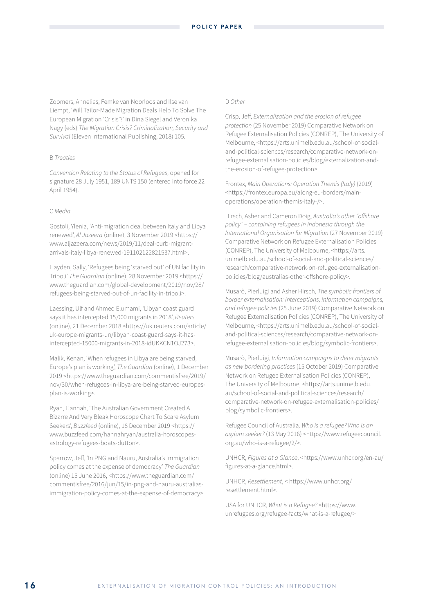<span id="page-15-0"></span>Zoomers, Annelies, Femke van Noorloos and Ilse van Liempt, 'Will Tailor-Made Migration Deals Help To Solve The European Migration 'Crisis'?' in Dina Siegel and Veronika Nagy (eds) *The Migration Crisis? Criminalization, Security and Survival* (Eleven International Publishing, 2018) 105.

#### B *Treaties*

*Convention Relating to the Status of Refugees*, opened for signature 28 July 1951, 189 UNTS 150 (entered into force 22 April 1954).

#### C *Media*

Gostoli, Ylenia, 'Anti-migration deal between Italy and Libya renewed', *Al Jazeera* (online), 3 November 2019 <https:// www.aljazeera.com/news/2019/11/deal-curb-migrantarrivals-italy-libya-renewed-191102122821537.html>.

Hayden, Sally, 'Refugees being 'starved out' of UN facility in Tripoli' *The Guardian* (online), 28 November 2019 <https:// www.theguardian.com/global-development/2019/nov/28/ refugees-being-starved-out-of-un-facility-in-tripoli>.

Laessing, Ulf and Ahmed Elumami, 'Libyan coast guard says it has intercepted 15,000 migrants in 2018', *Reuters*  (online), 21 December 2018 <https://uk.reuters.com/article/ uk-europe-migrants-un/libyan-coast-guard-says-it-hasintercepted-15000-migrants-in-2018-idUKKCN1OJ273>.

Malik, Kenan, 'When refugees in Libya are being starved, Europe's plan is working', *The Guardian* (online), 1 December 2019 <https://www.theguardian.com/commentisfree/2019/ nov/30/when-refugees-in-libya-are-being-starved-europesplan-is-working>.

Ryan, Hannah, 'The Australian Government Created A Bizarre And Very Bleak Horoscope Chart To Scare Asylum Seekers', *Buzzfeed* (online), 18 December 2019 <https:// www.buzzfeed.com/hannahryan/australia-horoscopesastrology-refugees-boats-dutton>.

Sparrow, Jeff, 'In PNG and Nauru, Australia's immigration policy comes at the expense of democracy' *The Guardian*  (online) 15 June 2016, <https://www.theguardian.com/ commentisfree/2016/jun/15/in-png-and-nauru-australiasimmigration-policy-comes-at-the-expense-of-democracy>.

#### D *Other*

Crisp, Jeff, *Externalization and the erosion of refugee protection* (25 November 2019) Comparative Network on Refugee Externalisation Policies (CONREP), The University of Melbourne, <https://arts.unimelb.edu.au/school-of-socialand-political-sciences/research/comparative-network-onrefugee-externalisation-policies/blog/externalization-andthe-erosion-of-refugee-protection>.

Frontex, *Main Operations: Operation Themis (Italy)* (2019) <https://frontex.europa.eu/along-eu-borders/mainoperations/operation-themis-italy-/>.

Hirsch, Asher and Cameron Doig, *Australia's other "offshore policy" – containing refugees in Indonesia through the International Organisation for Migration* (27 November 2019) Comparative Network on Refugee Externalisation Policies (CONREP), The University of Melbourne, <https://arts. unimelb.edu.au/school-of-social-and-political-sciences/ research/comparative-network-on-refugee-externalisationpolicies/blog/australias-other-offshore-policy>.

Musarò, Pierluigi and Asher Hirsch, *The symbolic frontiers of border externalisation: Interceptions, information campaigns, and refugee policies* (25 June 2019) Comparative Network on Refugee Externalisation Policies (CONREP), The University of Melbourne, <https://arts.unimelb.edu.au/school-of-socialand-political-sciences/research/comparative-network-onrefugee-externalisation-policies/blog/symbolic-frontiers>.

Musarò, Pierluigi, *Information campaigns to deter migrants as new bordering practices* (15 October 2019) Comparative Network on Refugee Externalisation Policies (CONREP), The University of Melbourne, <https://arts.unimelb.edu. au/school-of-social-and-political-sciences/research/ comparative-network-on-refugee-externalisation-policies/ blog/symbolic-frontiers>.

Refugee Council of Australia*, Who is a refugee? Who is an asylum seeker?* (13 May 2016) <https://www.refugeecouncil. org.au/who-is-a-refugee/2/>.

UNHCR, *Figures at a Glance*, <https://www.unhcr.org/en-au/ figures-at-a-glance.html>.

UNHCR, *Resettlement*, < https://www.unhcr.org/ resettlement.html>.

USA for UNHCR, *What is a Refugee?* <https://www. unrefugees.org/refugee-facts/what-is-a-refugee/>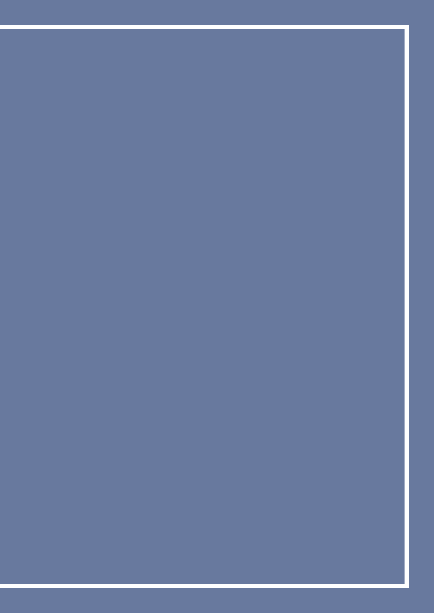**POLICY PAPER**

EXTERNALISATION OF MIGRATION CONTROL POLICIES: AN INTRODUCTION **1 7**